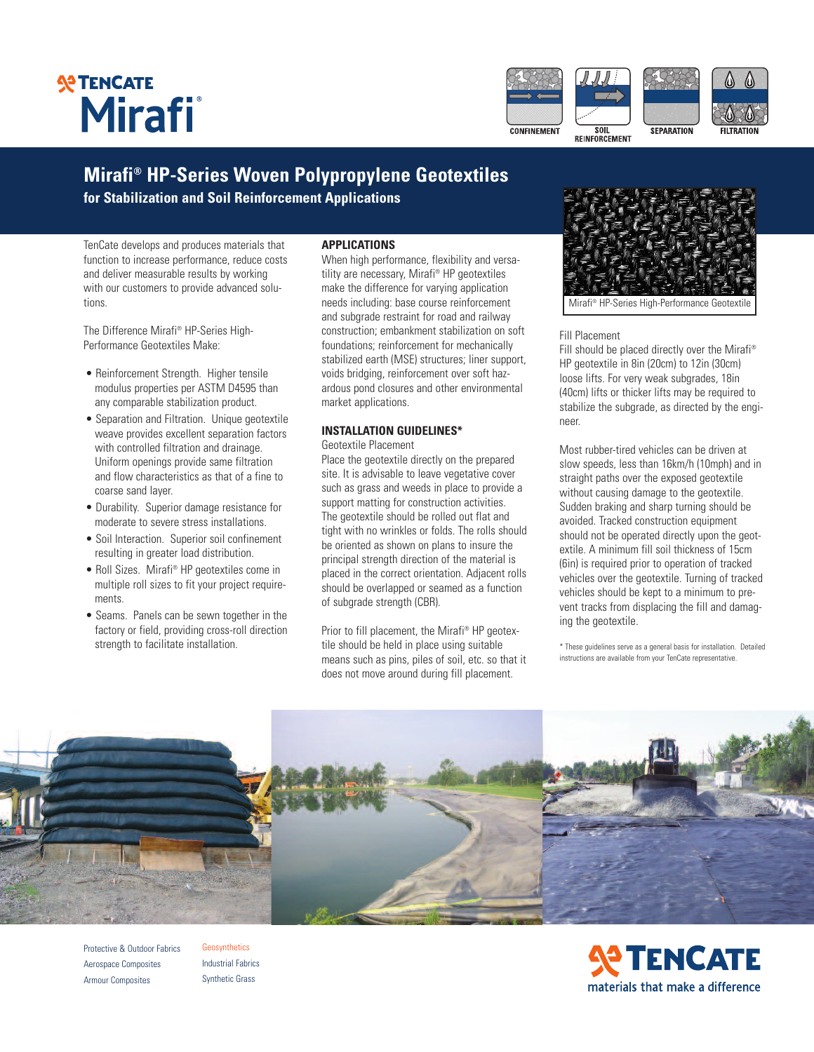# **SP TENCATE** Mirafi



## **Mirafi ® HP-Series Woven Polypropylene Geotextiles**

**for Stabilization and Soil Reinforcement Applications**

TenCate develops and produces materials that function to increase performance, reduce costs and deliver measurable results by working with our customers to provide advanced solutions.

The Difference Mirafi ® HP-Series High-Performance Geotextiles Make:

- Reinforcement Strength. Higher tensile modulus properties per ASTM D4595 than any comparable stabilization product.
- Separation and Filtration. Unique geotextile weave provides excellent separation factors with controlled filtration and drainage. Uniform openings provide same filtration and flow characteristics as that of a fine to coarse sand layer.
- Durability. Superior damage resistance for moderate to severe stress installations.
- Soil Interaction. Superior soil confinement resulting in greater load distribution.
- Roll Sizes. Mirafi ® HP geotextiles come in multiple roll sizes to fit your project requirements.
- Seams. Panels can be sewn together in the factory or field, providing cross-roll direction strength to facilitate installation.

#### **APPLICATIONS**

When high performance, flexibility and versatility are necessary, Mirafi ® HP geotextiles make the difference for varying application needs including: base course reinforcement and subgrade restraint for road and railway construction; embankment stabilization on soft foundations; reinforcement for mechanically stabilized earth (MSE) structures; liner support, voids bridging, reinforcement over soft hazardous pond closures and other environmental market applications.

### **INSTALLATION GUIDELINES\***

Geotextile Placement

Place the geotextile directly on the prepared site. It is advisable to leave vegetative cover such as grass and weeds in place to provide a support matting for construction activities. The geotextile should be rolled out flat and tight with no wrinkles or folds. The rolls should be oriented as shown on plans to insure the principal strength direction of the material is placed in the correct orientation. Adjacent rolls should be overlapped or seamed as a function of subgrade strength (CBR).

Prior to fill placement, the Mirafi ® HP geotextile should be held in place using suitable means such as pins, piles of soil, etc. so that it does not move around during fill placement.



Mirafi ® HP-Series High-Performance Geotextile

#### Fill Placement

Fill should be placed directly over the Mirafi ® HP geotextile in 8in (20cm) to 12in (30cm) loose lifts. For very weak subgrades, 18in (40cm) lifts or thicker lifts may be required to stabilize the subgrade, as directed by the engineer.

Most rubber-tired vehicles can be driven at slow speeds, less than 16km/h (10mph) and in straight paths over the exposed geotextile without causing damage to the geotextile. Sudden braking and sharp turning should be avoided. Tracked construction equipment should not be operated directly upon the geotextile. A minimum fill soil thickness of 15cm (6in) is required prior to operation of tracked vehicles over the geotextile. Turning of tracked vehicles should be kept to a minimum to prevent tracks from displacing the fill and damaging the geotextile.

\* These guidelines serve as a general basis for installation. Detailed instructions are available from your TenCate representative.



Protective & Outdoor Fabrics Aerospace Composites Armour Composites

Geosynthetics Industrial Fabrics Synthetic Grass